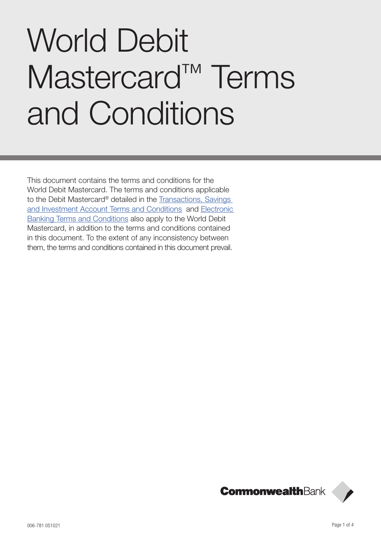# World Debit Mastercard<sup>™</sup> Terms and Conditions

This document contains the terms and conditions for the World Debit Mastercard. The terms and conditions applicable to the Debit Mastercard® detailed in the [Transactions, Savings](https://www.commbank.com.au/content/dam/commbank/personal/apply-online/download-printed-forms/SavingsInvestment_ADB2852.pdf?ei=Terms_Full-terms)  [and Investment Account Terms and Conditions](https://www.commbank.com.au/content/dam/commbank/personal/apply-online/download-printed-forms/SavingsInvestment_ADB2852.pdf?ei=Terms_Full-terms) and [Electronic](https://www.commbank.com.au/content/dam/commbank/personal/apply-online/download-printed-forms/ElectronicBanking_ADB2426.pdf)  [Banking Terms and Conditions](https://www.commbank.com.au/content/dam/commbank/personal/apply-online/download-printed-forms/ElectronicBanking_ADB2426.pdf) also apply to the World Debit Mastercard, in addition to the terms and conditions contained in this document. To the extent of any inconsistency between them, the terms and conditions contained in this document prevail.

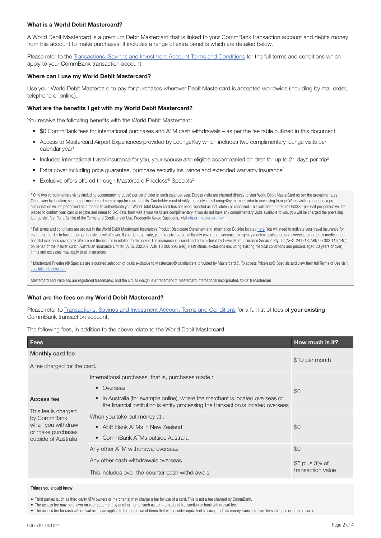# What is a World Debit Mastercard?

A World Debit Mastercard is a premium Debit Mastercard that is linked to your CommBank transaction account and debits money from this account to make purchases. It includes a range of extra benefits which are detailed below.

Please refer to the [Transactions, Savings and Investment Account Terms and Conditions](https://www.commbank.com.au/content/dam/commbank/personal/apply-online/download-printed-forms/SavingsInvestment_ADB2852.pdf?ei=Terms_Full-terms) for the full terms and conditions which apply to your CommBank transaction account.

## Where can I use my World Debit Mastercard?

Use your World Debit Mastercard to pay for purchases wherever Debit Mastercard is accepted worldwide (including by mail order, telephone or online).

# What are the benefits I get with my World Debit Mastercard?

You receive the following benefits with the World Debit Mastercard:

- \$0 CommBank fees for international purchases and ATM cash withdrawals as per the fee table outlined in this document
- Access to Mastercard Airport Experiences provided by LoungeKey which includes two complimentary lounge visits per calendar year<sup>1</sup>
- Included international travel insurance for you, your spouse and eligible accompanied children for up to 21 days per trip<sup>2</sup>
- Extra cover including price guarantee, purchase security insurance and extended warranty insurance<sup>2</sup>
- Exclusive offers offered through Mastercard Priceless® Specials<sup>3</sup>

<sup>1</sup> Only two complimentary visits (including accompanying guest) per cardholder in each calendar year. Excess visits are charged directly to your World Debit MasterCard as per the prevailing rates. Offers vary by location, see airport.mastercard.com or app for more details. Cardholder must identify themselves as LoungeKey member prior to accessing lounge. When visiting a lounge, a preauthorisation will be performed as a means to authenticate your World Debit Mastercard has not been reported as lost, stolen or cancelled. This will mean a hold of USD\$32 per visit per person will be placed to confirm your card is eligible and released 3-5 days from visit if your visits are complimentary. If you do not have any complimentary visits available to you, you will be charged the prevailing lounge visit fee. For a full list of the Terms and Conditions of Use, Frequently Asked Questions, visit [airport.mastercard.com](https://airport.mastercard.com/)

<sup>2</sup> Full terms and conditions are set out in the World Debit Mastercard Insurances Product Disclosure Statement and Information Booklet located <u>here</u>. You will need to activate your travel insurance for each trip in order to have a comprehensive level of cover. If you don't activate, you'll receive personal liability cover and overseas emergency medical assistance and overseas emergency medical and hospital expenses cover only. We are not the insurer in relation to this cover. The insurance is issued and administered by Cover-More Insurance Services Pty Ltd (AFSL 241713, ABN 95 003 114 145) on behalf of the insurer Zurich Australian Insurance Limited (AFSL 232507, ABN 13 000 296 640). Restrictions, exclusions (including existing medical conditions and persons aged 80 years or over), limits and excesses may apply to all insurances.

<sup>3</sup> Mastercard Priceless® Specials are a curated selection of deals exclusive to Mastercard© cardholders, provided by Mastercard©. To access Priceless® Specials and view their full Terms of Use visit [specials.priceless.com](https://specials.priceless.com/en-ap/benefits?issuerId=&productId).

Mastercard and Priceless are registered trademarks, and the circles design is a trademark of Mastercard International Incorporated. ©2018 Mastercard

## What are the fees on my World Debit Mastercard?

Please refer to [Transactions, Savings and Investment Account Terms and Conditions](https://www.commbank.com.au/content/dam/commbank/personal/apply-online/download-printed-forms/SavingsInvestment_ADB2852.pdf?ei=Terms_Full-terms) for a full list of fees of your existing CommBank transaction account.

The following fees, in addition to the above relate to the World Debit Mastercard.

| <b>Fees</b>                                                                                                         |                                                                                                                                                                                                                                                               | How much is it?                     |
|---------------------------------------------------------------------------------------------------------------------|---------------------------------------------------------------------------------------------------------------------------------------------------------------------------------------------------------------------------------------------------------------|-------------------------------------|
| Monthly card fee<br>A fee charged for the card.                                                                     |                                                                                                                                                                                                                                                               | \$10 per month                      |
| Access fee<br>This fee is charged<br>by CommBank<br>when you withdraw<br>or make purchases<br>outside of Australia. | International purchases, that is, purchases made:<br>Overseas<br>$\bullet$<br>In Australia (for example online), where the merchant is located overseas or<br>$\bullet$<br>the financial institution is entity processing the transaction is located overseas | \$0                                 |
|                                                                                                                     | When you take out money at :<br>ASB Bank ATMs in New Zealand<br>$\bullet$<br>CommBank ATMs outside Australia                                                                                                                                                  | \$0                                 |
|                                                                                                                     | Any other ATM withdrawal overseas                                                                                                                                                                                                                             | \$0                                 |
|                                                                                                                     | Any other cash withdrawals overseas<br>This includes over-the-counter cash withdrawals                                                                                                                                                                        | \$5 plus 3% of<br>transaction value |

#### Things you should know:

• Third parties (such as third-party ATM owners or merchants) may charge a fee for use of a card. This is not a fee charged by CommBank.

• The access fee may be shown on your statement by another name, such as an international transaction or bank withdrawal fee.

• The access fee for cash withdrawal overseas applies to the purchase of items that we consider equivalent to cash, such as money transfers, traveller's cheques or prepaid cards.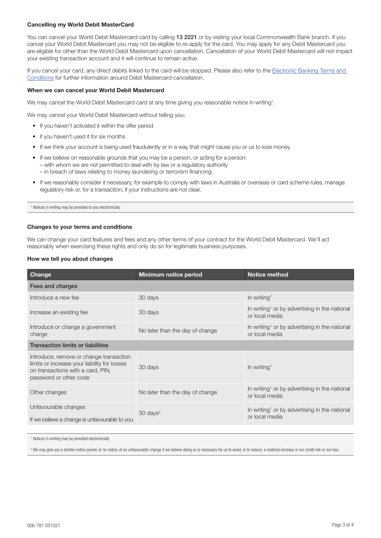# Cancelling my World Debit MasterCard

You can cancel your World Debit Mastercard card by calling 13 2221 or by visiting your local Commonwealth Bank branch. If you cancel your World Debit Mastercard you may not be eligible to re-apply for the card. You may apply for any Debit Mastercard you are eligible for other than the World Debit Mastercard upon cancellation. Cancellation of your World Debit Mastercard will not impact your existing transaction account and it will continue to remain active.

If you cancel your card, any direct debits linked to the card will be stopped. Please also refer to the Electronic Banking Terms and [Conditions](https://www.commbank.com.au/content/dam/commbank/personal/apply-online/download-printed-forms/ElectronicBanking_ADB2426.pdf) for further information around Debit Mastercard cancellation.

## When we can cancel your World Debit Mastercard

We may cancel the World Debit Mastercard card at any time giving you reasonable notice in writing<sup>1</sup>.

We may cancel your World Debit Mastercard without telling you:

- If you haven't activated it within the offer period
- if you haven't used it for six months
- If we think your account is being used fraudulently or in a way that might cause you or us to lose money
- If we believe on reasonable grounds that you may be a person, or acting for a person: – with whom we are not permitted to deal with by law or a regulatory authority – in breach of laws relating to money laundering or terrorism financing.
- If we reasonably consider it necessary, for example to comply with laws in Australia or overseas or card scheme rules, manage regulatory risk or, for a transaction, if your instructions are not clear.

1 Notices in writing may be provided to you electronically

## Changes to your terms and conditions

We can change your card features and fees and any other terms of your contract for the World Debit Mastercard. We'll act reasonably when exercising these rights and only do so for legitimate business purposes.

## How we tell you about changes

| Change                                                                                                                                                 | <b>Minimum notice period</b>    | <b>Notice method</b>                                                        |  |  |
|--------------------------------------------------------------------------------------------------------------------------------------------------------|---------------------------------|-----------------------------------------------------------------------------|--|--|
| Fees and charges                                                                                                                                       |                                 |                                                                             |  |  |
| Introduce a new fee                                                                                                                                    | 30 days                         | In writing <sup>1</sup>                                                     |  |  |
| Increase an existing fee                                                                                                                               | 30 days                         | In writing <sup>1</sup> or by advertising in the national<br>or local media |  |  |
| Introduce or change a government<br>charge                                                                                                             | No later than the day of change | In writing <sup>1</sup> or by advertising in the national<br>or local media |  |  |
| <b>Transaction limits or liabilities</b>                                                                                                               |                                 |                                                                             |  |  |
| Introduce, remove or change transaction<br>limits or increase your liability for losses<br>on transactions with a card, PIN,<br>password or other code | 30 days                         | In writing <sup>1</sup>                                                     |  |  |
| Other changes                                                                                                                                          | No later than the day of change | In writing <sup>1</sup> or by advertising in the national<br>or local media |  |  |
| Unfavourable changes<br>If we believe a change is unfavourable to you                                                                                  | $30 \text{ days}^2$             | In writing <sup>1</sup> or by advertising in the national<br>or local media |  |  |
|                                                                                                                                                        |                                 |                                                                             |  |  |

1 Notices in writing may be provided electronically

<sup>2</sup> We may give you a shorter notice period, or no notice, of an unfavourable change if we believe doing so is necessary for us to avoid, or to reduce, a material increase in our credit risk or our loss